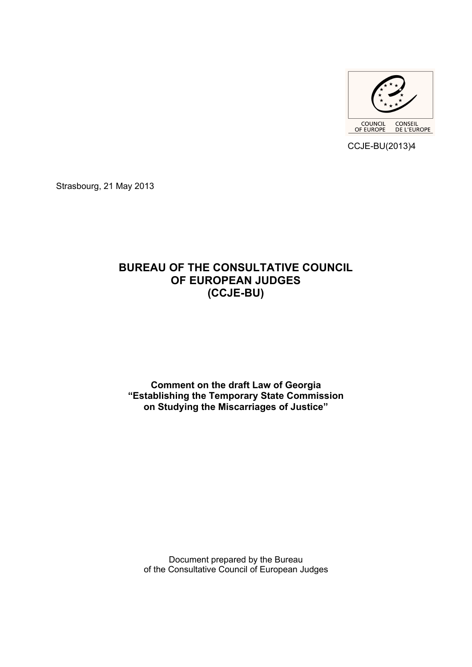

CCJE-BU(2013)4

Strasbourg, 21 May 2013

# **BUREAU OF THE CONSULTATIVE COUNCIL OF EUROPEAN JUDGES (CCJE-BU)**

## **Comment on the draft Law of Georgia "Establishing the Temporary State Commission on Studying the Miscarriages of Justice"**

Document prepared by the Bureau of the Consultative Council of European Judges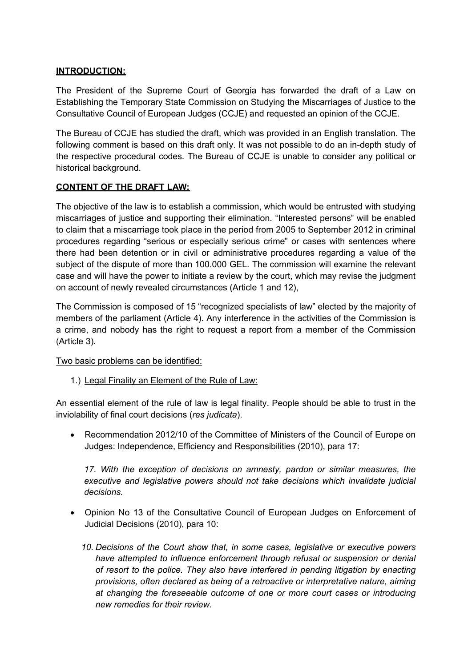#### **INTRODUCTION:**

The President of the Supreme Court of Georgia has forwarded the draft of a Law on Establishing the Temporary State Commission on Studying the Miscarriages of Justice to the Consultative Council of European Judges (CCJE) and requested an opinion of the CCJE.

The Bureau of CCJE has studied the draft, which was provided in an English translation. The following comment is based on this draft only. It was not possible to do an in-depth study of the respective procedural codes. The Bureau of CCJE is unable to consider any political or historical background.

### **CONTENT OF THE DRAFT LAW:**

The objective of the law is to establish a commission, which would be entrusted with studying miscarriages of justice and supporting their elimination. "Interested persons" will be enabled to claim that a miscarriage took place in the period from 2005 to September 2012 in criminal procedures regarding "serious or especially serious crime" or cases with sentences where there had been detention or in civil or administrative procedures regarding a value of the subject of the dispute of more than 100.000 GEL. The commission will examine the relevant case and will have the power to initiate a review by the court, which may revise the judgment on account of newly revealed circumstances (Article 1 and 12),

The Commission is composed of 15 "recognized specialists of law" elected by the majority of members of the parliament (Article 4). Any interference in the activities of the Commission is a crime, and nobody has the right to request a report from a member of the Commission (Article 3).

Two basic problems can be identified:

1.) Legal Finality an Element of the Rule of Law:

An essential element of the rule of law is legal finality. People should be able to trust in the inviolability of final court decisions (*res judicata*).

 Recommendation 2012/10 of the Committee of Ministers of the Council of Europe on Judges: Independence, Efficiency and Responsibilities (2010), para 17:

*17. With the exception of decisions on amnesty, pardon or similar measures, the executive and legislative powers should not take decisions which invalidate judicial decisions.* 

- Opinion No 13 of the Consultative Council of European Judges on Enforcement of Judicial Decisions (2010), para 10:
	- *10. Decisions of the Court show that, in some cases, legislative or executive powers*  have attempted to influence enforcement through refusal or suspension or denial *of resort to the police. They also have interfered in pending litigation by enacting provisions, often declared as being of a retroactive or interpretative nature, aiming at changing the foreseeable outcome of one or more court cases or introducing new remedies for their review.*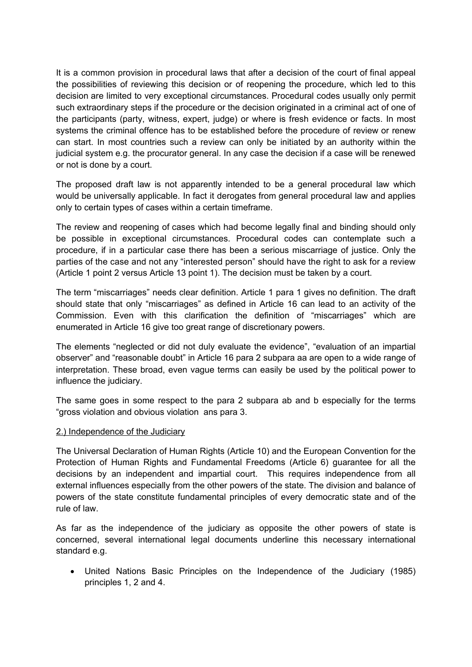It is a common provision in procedural laws that after a decision of the court of final appeal the possibilities of reviewing this decision or of reopening the procedure, which led to this decision are limited to very exceptional circumstances. Procedural codes usually only permit such extraordinary steps if the procedure or the decision originated in a criminal act of one of the participants (party, witness, expert, judge) or where is fresh evidence or facts. In most systems the criminal offence has to be established before the procedure of review or renew can start. In most countries such a review can only be initiated by an authority within the judicial system e.g. the procurator general. In any case the decision if a case will be renewed or not is done by a court.

The proposed draft law is not apparently intended to be a general procedural law which would be universally applicable. In fact it derogates from general procedural law and applies only to certain types of cases within a certain timeframe.

The review and reopening of cases which had become legally final and binding should only be possible in exceptional circumstances. Procedural codes can contemplate such a procedure, if in a particular case there has been a serious miscarriage of justice. Only the parties of the case and not any "interested person" should have the right to ask for a review (Article 1 point 2 versus Article 13 point 1). The decision must be taken by a court.

The term "miscarriages" needs clear definition. Article 1 para 1 gives no definition. The draft should state that only "miscarriages" as defined in Article 16 can lead to an activity of the Commission. Even with this clarification the definition of "miscarriages" which are enumerated in Article 16 give too great range of discretionary powers.

The elements "neglected or did not duly evaluate the evidence", "evaluation of an impartial observer" and "reasonable doubt" in Article 16 para 2 subpara aa are open to a wide range of interpretation. These broad, even vague terms can easily be used by the political power to influence the judiciary.

The same goes in some respect to the para 2 subpara ab and b especially for the terms "gross violation and obvious violation ans para 3.

#### 2.) Independence of the Judiciary

The Universal Declaration of Human Rights (Article 10) and the European Convention for the Protection of Human Rights and Fundamental Freedoms (Article 6) guarantee for all the decisions by an independent and impartial court. This requires independence from all external influences especially from the other powers of the state. The division and balance of powers of the state constitute fundamental principles of every democratic state and of the rule of law.

As far as the independence of the judiciary as opposite the other powers of state is concerned, several international legal documents underline this necessary international standard e.g.

 United Nations Basic Principles on the Independence of the Judiciary (1985) principles 1, 2 and 4.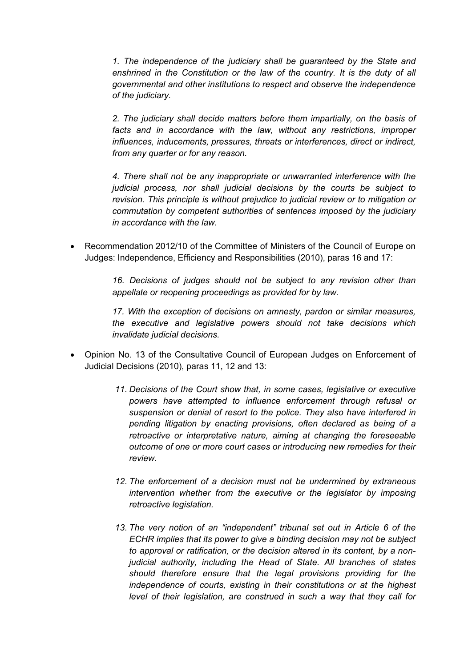*1. The independence of the judiciary shall be guaranteed by the State and enshrined in the Constitution or the law of the country. It is the duty of all governmental and other institutions to respect and observe the independence of the judiciary.*

*2. The judiciary shall decide matters before them impartially, on the basis of facts and in accordance with the law, without any restrictions, improper influences, inducements, pressures, threats or interferences, direct or indirect, from any quarter or for any reason.*

*4. There shall not be any inappropriate or unwarranted interference with the judicial process, nor shall judicial decisions by the courts be subject to revision. This principle is without prejudice to judicial review or to mitigation or commutation by competent authorities of sentences imposed by the judiciary in accordance with the law.*

 Recommendation 2012/10 of the Committee of Ministers of the Council of Europe on Judges: Independence, Efficiency and Responsibilities (2010), paras 16 and 17:

> *16. Decisions of judges should not be subject to any revision other than appellate or reopening proceedings as provided for by law.*

> *17. With the exception of decisions on amnesty, pardon or similar measures, the executive and legislative powers should not take decisions which invalidate judicial decisions.*

- Opinion No. 13 of the Consultative Council of European Judges on Enforcement of Judicial Decisions (2010), paras 11, 12 and 13:
	- *11. Decisions of the Court show that, in some cases, legislative or executive powers have attempted to influence enforcement through refusal or suspension or denial of resort to the police. They also have interfered in pending litigation by enacting provisions, often declared as being of a retroactive or interpretative nature, aiming at changing the foreseeable outcome of one or more court cases or introducing new remedies for their review.*
	- *12. The enforcement of a decision must not be undermined by extraneous intervention whether from the executive or the legislator by imposing retroactive legislation.*
	- *13. The very notion of an "independent" tribunal set out in Article 6 of the ECHR implies that its power to give a binding decision may not be subject to approval or ratification, or the decision altered in its content, by a nonjudicial authority, including the Head of State. All branches of states should therefore ensure that the legal provisions providing for the independence of courts, existing in their constitutions or at the highest level of their legislation, are construed in such a way that they call for*